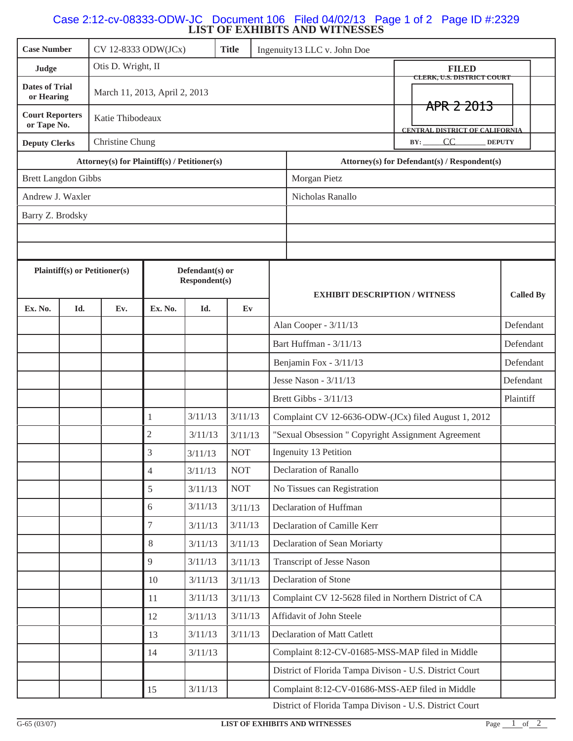## **LIST OF EXHIBITS AND WITNESSES** Case 2:12-cv-08333-ODW-JC Document 106 Filed 04/02/13 Page 1 of 2 Page ID #:2329

| Otis D. Wright, II<br><b>FILED</b><br>Judge<br>CLERK, U.S. DISTRICT COURT<br><b>Dates of Trial</b><br>March 11, 2013, April 2, 2013<br>or Hearing<br>APR 2 2013<br><b>Court Reporters</b><br>Katie Thibodeaux<br>or Tape No.<br><b>CENTRAL DISTRICT OF CALIFORNIA</b><br>Christine Chung<br>$BY:$ CC<br><b>DEPUTY</b><br><b>Deputy Clerks</b><br><b>Attorney(s) for Plaintiff(s) / Petitioner(s)</b><br>Attorney(s) for Defendant(s) / Respondent(s)<br><b>Brett Langdon Gibbs</b><br>Morgan Pietz<br>Andrew J. Waxler<br>Nicholas Ranallo<br>Barry Z. Brodsky<br><b>Plaintiff(s)</b> or Petitioner(s)<br>Defendant(s) or<br>Respondent(s)<br><b>Called By</b><br><b>EXHIBIT DESCRIPTION / WITNESS</b><br>Ex. No.<br>Ex. No.<br>Id.<br>Ev.<br>Id.<br>Ev<br>Defendant<br>Alan Cooper - 3/11/13<br>Bart Huffman - 3/11/13<br>Defendant<br>Defendant<br>Benjamin Fox - 3/11/13<br>Jesse Nason - 3/11/13<br>Defendant<br>Plaintiff<br>Brett Gibbs - 3/11/13<br>3/11/13<br>3/11/13<br>$\mathbf{1}$<br>Complaint CV 12-6636-ODW-(JCx) filed August 1, 2012<br>$\sqrt{2}$<br>"Sexual Obsession " Copyright Assignment Agreement<br>3/11/13<br>3/11/13<br>3<br>Ingenuity 13 Petition<br><b>NOT</b><br>3/11/13<br>Declaration of Ranallo<br>$\overline{4}$<br><b>NOT</b><br>3/11/13<br><b>NOT</b><br>5<br>No Tissues can Registration<br>3/11/13<br>3/11/13<br>6<br>Declaration of Huffman<br>3/11/13<br>$\overline{7}$<br>3/11/13<br>3/11/13<br>Declaration of Camille Kerr<br>$8\,$<br>Declaration of Sean Moriarty<br>3/11/13<br>3/11/13<br>9<br>3/11/13<br>3/11/13<br>Transcript of Jesse Nason<br>Declaration of Stone<br>10<br>3/11/13<br>3/11/13<br>Complaint CV 12-5628 filed in Northern District of CA<br>3/11/13<br>11<br>3/11/13<br>3/11/13<br>Affidavit of John Steele<br>12<br>3/11/13<br>3/11/13<br>3/11/13<br>Declaration of Matt Catlett<br>13<br>Complaint 8:12-CV-01685-MSS-MAP filed in Middle<br>14<br>3/11/13<br>District of Florida Tampa Divison - U.S. District Court<br>3/11/13<br>Complaint 8:12-CV-01686-MSS-AEP filed in Middle<br>15<br>District of Florida Tampa Divison - U.S. District Court | <b>Case Number</b> |  | CV 12-8333 ODW(JCx)<br><b>Title</b> |  |  | Ingenuity13 LLC v. John Doe |  |  |  |  |  |
|----------------------------------------------------------------------------------------------------------------------------------------------------------------------------------------------------------------------------------------------------------------------------------------------------------------------------------------------------------------------------------------------------------------------------------------------------------------------------------------------------------------------------------------------------------------------------------------------------------------------------------------------------------------------------------------------------------------------------------------------------------------------------------------------------------------------------------------------------------------------------------------------------------------------------------------------------------------------------------------------------------------------------------------------------------------------------------------------------------------------------------------------------------------------------------------------------------------------------------------------------------------------------------------------------------------------------------------------------------------------------------------------------------------------------------------------------------------------------------------------------------------------------------------------------------------------------------------------------------------------------------------------------------------------------------------------------------------------------------------------------------------------------------------------------------------------------------------------------------------------------------------------------------------------------------------------------------------------------------------------------------------------------------------------------------------------------------------------------------------------|--------------------|--|-------------------------------------|--|--|-----------------------------|--|--|--|--|--|
|                                                                                                                                                                                                                                                                                                                                                                                                                                                                                                                                                                                                                                                                                                                                                                                                                                                                                                                                                                                                                                                                                                                                                                                                                                                                                                                                                                                                                                                                                                                                                                                                                                                                                                                                                                                                                                                                                                                                                                                                                                                                                                                      |                    |  |                                     |  |  |                             |  |  |  |  |  |
|                                                                                                                                                                                                                                                                                                                                                                                                                                                                                                                                                                                                                                                                                                                                                                                                                                                                                                                                                                                                                                                                                                                                                                                                                                                                                                                                                                                                                                                                                                                                                                                                                                                                                                                                                                                                                                                                                                                                                                                                                                                                                                                      |                    |  |                                     |  |  |                             |  |  |  |  |  |
|                                                                                                                                                                                                                                                                                                                                                                                                                                                                                                                                                                                                                                                                                                                                                                                                                                                                                                                                                                                                                                                                                                                                                                                                                                                                                                                                                                                                                                                                                                                                                                                                                                                                                                                                                                                                                                                                                                                                                                                                                                                                                                                      |                    |  |                                     |  |  |                             |  |  |  |  |  |
|                                                                                                                                                                                                                                                                                                                                                                                                                                                                                                                                                                                                                                                                                                                                                                                                                                                                                                                                                                                                                                                                                                                                                                                                                                                                                                                                                                                                                                                                                                                                                                                                                                                                                                                                                                                                                                                                                                                                                                                                                                                                                                                      |                    |  |                                     |  |  |                             |  |  |  |  |  |
|                                                                                                                                                                                                                                                                                                                                                                                                                                                                                                                                                                                                                                                                                                                                                                                                                                                                                                                                                                                                                                                                                                                                                                                                                                                                                                                                                                                                                                                                                                                                                                                                                                                                                                                                                                                                                                                                                                                                                                                                                                                                                                                      |                    |  |                                     |  |  |                             |  |  |  |  |  |
|                                                                                                                                                                                                                                                                                                                                                                                                                                                                                                                                                                                                                                                                                                                                                                                                                                                                                                                                                                                                                                                                                                                                                                                                                                                                                                                                                                                                                                                                                                                                                                                                                                                                                                                                                                                                                                                                                                                                                                                                                                                                                                                      |                    |  |                                     |  |  |                             |  |  |  |  |  |
|                                                                                                                                                                                                                                                                                                                                                                                                                                                                                                                                                                                                                                                                                                                                                                                                                                                                                                                                                                                                                                                                                                                                                                                                                                                                                                                                                                                                                                                                                                                                                                                                                                                                                                                                                                                                                                                                                                                                                                                                                                                                                                                      |                    |  |                                     |  |  |                             |  |  |  |  |  |
|                                                                                                                                                                                                                                                                                                                                                                                                                                                                                                                                                                                                                                                                                                                                                                                                                                                                                                                                                                                                                                                                                                                                                                                                                                                                                                                                                                                                                                                                                                                                                                                                                                                                                                                                                                                                                                                                                                                                                                                                                                                                                                                      |                    |  |                                     |  |  |                             |  |  |  |  |  |
|                                                                                                                                                                                                                                                                                                                                                                                                                                                                                                                                                                                                                                                                                                                                                                                                                                                                                                                                                                                                                                                                                                                                                                                                                                                                                                                                                                                                                                                                                                                                                                                                                                                                                                                                                                                                                                                                                                                                                                                                                                                                                                                      |                    |  |                                     |  |  |                             |  |  |  |  |  |
|                                                                                                                                                                                                                                                                                                                                                                                                                                                                                                                                                                                                                                                                                                                                                                                                                                                                                                                                                                                                                                                                                                                                                                                                                                                                                                                                                                                                                                                                                                                                                                                                                                                                                                                                                                                                                                                                                                                                                                                                                                                                                                                      |                    |  |                                     |  |  |                             |  |  |  |  |  |
|                                                                                                                                                                                                                                                                                                                                                                                                                                                                                                                                                                                                                                                                                                                                                                                                                                                                                                                                                                                                                                                                                                                                                                                                                                                                                                                                                                                                                                                                                                                                                                                                                                                                                                                                                                                                                                                                                                                                                                                                                                                                                                                      |                    |  |                                     |  |  |                             |  |  |  |  |  |
|                                                                                                                                                                                                                                                                                                                                                                                                                                                                                                                                                                                                                                                                                                                                                                                                                                                                                                                                                                                                                                                                                                                                                                                                                                                                                                                                                                                                                                                                                                                                                                                                                                                                                                                                                                                                                                                                                                                                                                                                                                                                                                                      |                    |  |                                     |  |  |                             |  |  |  |  |  |
|                                                                                                                                                                                                                                                                                                                                                                                                                                                                                                                                                                                                                                                                                                                                                                                                                                                                                                                                                                                                                                                                                                                                                                                                                                                                                                                                                                                                                                                                                                                                                                                                                                                                                                                                                                                                                                                                                                                                                                                                                                                                                                                      |                    |  |                                     |  |  |                             |  |  |  |  |  |
|                                                                                                                                                                                                                                                                                                                                                                                                                                                                                                                                                                                                                                                                                                                                                                                                                                                                                                                                                                                                                                                                                                                                                                                                                                                                                                                                                                                                                                                                                                                                                                                                                                                                                                                                                                                                                                                                                                                                                                                                                                                                                                                      |                    |  |                                     |  |  |                             |  |  |  |  |  |
|                                                                                                                                                                                                                                                                                                                                                                                                                                                                                                                                                                                                                                                                                                                                                                                                                                                                                                                                                                                                                                                                                                                                                                                                                                                                                                                                                                                                                                                                                                                                                                                                                                                                                                                                                                                                                                                                                                                                                                                                                                                                                                                      |                    |  |                                     |  |  |                             |  |  |  |  |  |
|                                                                                                                                                                                                                                                                                                                                                                                                                                                                                                                                                                                                                                                                                                                                                                                                                                                                                                                                                                                                                                                                                                                                                                                                                                                                                                                                                                                                                                                                                                                                                                                                                                                                                                                                                                                                                                                                                                                                                                                                                                                                                                                      |                    |  |                                     |  |  |                             |  |  |  |  |  |
|                                                                                                                                                                                                                                                                                                                                                                                                                                                                                                                                                                                                                                                                                                                                                                                                                                                                                                                                                                                                                                                                                                                                                                                                                                                                                                                                                                                                                                                                                                                                                                                                                                                                                                                                                                                                                                                                                                                                                                                                                                                                                                                      |                    |  |                                     |  |  |                             |  |  |  |  |  |
|                                                                                                                                                                                                                                                                                                                                                                                                                                                                                                                                                                                                                                                                                                                                                                                                                                                                                                                                                                                                                                                                                                                                                                                                                                                                                                                                                                                                                                                                                                                                                                                                                                                                                                                                                                                                                                                                                                                                                                                                                                                                                                                      |                    |  |                                     |  |  |                             |  |  |  |  |  |
|                                                                                                                                                                                                                                                                                                                                                                                                                                                                                                                                                                                                                                                                                                                                                                                                                                                                                                                                                                                                                                                                                                                                                                                                                                                                                                                                                                                                                                                                                                                                                                                                                                                                                                                                                                                                                                                                                                                                                                                                                                                                                                                      |                    |  |                                     |  |  |                             |  |  |  |  |  |
|                                                                                                                                                                                                                                                                                                                                                                                                                                                                                                                                                                                                                                                                                                                                                                                                                                                                                                                                                                                                                                                                                                                                                                                                                                                                                                                                                                                                                                                                                                                                                                                                                                                                                                                                                                                                                                                                                                                                                                                                                                                                                                                      |                    |  |                                     |  |  |                             |  |  |  |  |  |
|                                                                                                                                                                                                                                                                                                                                                                                                                                                                                                                                                                                                                                                                                                                                                                                                                                                                                                                                                                                                                                                                                                                                                                                                                                                                                                                                                                                                                                                                                                                                                                                                                                                                                                                                                                                                                                                                                                                                                                                                                                                                                                                      |                    |  |                                     |  |  |                             |  |  |  |  |  |
|                                                                                                                                                                                                                                                                                                                                                                                                                                                                                                                                                                                                                                                                                                                                                                                                                                                                                                                                                                                                                                                                                                                                                                                                                                                                                                                                                                                                                                                                                                                                                                                                                                                                                                                                                                                                                                                                                                                                                                                                                                                                                                                      |                    |  |                                     |  |  |                             |  |  |  |  |  |
|                                                                                                                                                                                                                                                                                                                                                                                                                                                                                                                                                                                                                                                                                                                                                                                                                                                                                                                                                                                                                                                                                                                                                                                                                                                                                                                                                                                                                                                                                                                                                                                                                                                                                                                                                                                                                                                                                                                                                                                                                                                                                                                      |                    |  |                                     |  |  |                             |  |  |  |  |  |
|                                                                                                                                                                                                                                                                                                                                                                                                                                                                                                                                                                                                                                                                                                                                                                                                                                                                                                                                                                                                                                                                                                                                                                                                                                                                                                                                                                                                                                                                                                                                                                                                                                                                                                                                                                                                                                                                                                                                                                                                                                                                                                                      |                    |  |                                     |  |  |                             |  |  |  |  |  |
|                                                                                                                                                                                                                                                                                                                                                                                                                                                                                                                                                                                                                                                                                                                                                                                                                                                                                                                                                                                                                                                                                                                                                                                                                                                                                                                                                                                                                                                                                                                                                                                                                                                                                                                                                                                                                                                                                                                                                                                                                                                                                                                      |                    |  |                                     |  |  |                             |  |  |  |  |  |
|                                                                                                                                                                                                                                                                                                                                                                                                                                                                                                                                                                                                                                                                                                                                                                                                                                                                                                                                                                                                                                                                                                                                                                                                                                                                                                                                                                                                                                                                                                                                                                                                                                                                                                                                                                                                                                                                                                                                                                                                                                                                                                                      |                    |  |                                     |  |  |                             |  |  |  |  |  |
|                                                                                                                                                                                                                                                                                                                                                                                                                                                                                                                                                                                                                                                                                                                                                                                                                                                                                                                                                                                                                                                                                                                                                                                                                                                                                                                                                                                                                                                                                                                                                                                                                                                                                                                                                                                                                                                                                                                                                                                                                                                                                                                      |                    |  |                                     |  |  |                             |  |  |  |  |  |
|                                                                                                                                                                                                                                                                                                                                                                                                                                                                                                                                                                                                                                                                                                                                                                                                                                                                                                                                                                                                                                                                                                                                                                                                                                                                                                                                                                                                                                                                                                                                                                                                                                                                                                                                                                                                                                                                                                                                                                                                                                                                                                                      |                    |  |                                     |  |  |                             |  |  |  |  |  |
|                                                                                                                                                                                                                                                                                                                                                                                                                                                                                                                                                                                                                                                                                                                                                                                                                                                                                                                                                                                                                                                                                                                                                                                                                                                                                                                                                                                                                                                                                                                                                                                                                                                                                                                                                                                                                                                                                                                                                                                                                                                                                                                      |                    |  |                                     |  |  |                             |  |  |  |  |  |
|                                                                                                                                                                                                                                                                                                                                                                                                                                                                                                                                                                                                                                                                                                                                                                                                                                                                                                                                                                                                                                                                                                                                                                                                                                                                                                                                                                                                                                                                                                                                                                                                                                                                                                                                                                                                                                                                                                                                                                                                                                                                                                                      |                    |  |                                     |  |  |                             |  |  |  |  |  |
|                                                                                                                                                                                                                                                                                                                                                                                                                                                                                                                                                                                                                                                                                                                                                                                                                                                                                                                                                                                                                                                                                                                                                                                                                                                                                                                                                                                                                                                                                                                                                                                                                                                                                                                                                                                                                                                                                                                                                                                                                                                                                                                      |                    |  |                                     |  |  |                             |  |  |  |  |  |
|                                                                                                                                                                                                                                                                                                                                                                                                                                                                                                                                                                                                                                                                                                                                                                                                                                                                                                                                                                                                                                                                                                                                                                                                                                                                                                                                                                                                                                                                                                                                                                                                                                                                                                                                                                                                                                                                                                                                                                                                                                                                                                                      |                    |  |                                     |  |  |                             |  |  |  |  |  |
|                                                                                                                                                                                                                                                                                                                                                                                                                                                                                                                                                                                                                                                                                                                                                                                                                                                                                                                                                                                                                                                                                                                                                                                                                                                                                                                                                                                                                                                                                                                                                                                                                                                                                                                                                                                                                                                                                                                                                                                                                                                                                                                      |                    |  |                                     |  |  |                             |  |  |  |  |  |